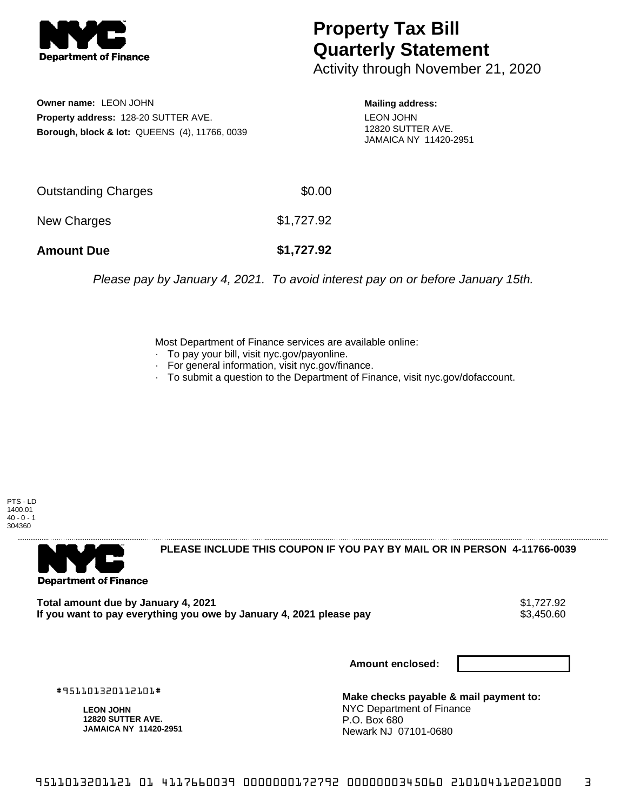

## **Property Tax Bill Quarterly Statement**

Activity through November 21, 2020

**Owner name:** LEON JOHN **Property address:** 128-20 SUTTER AVE. **Borough, block & lot:** QUEENS (4), 11766, 0039

## **Mailing address:**

LEON JOHN 12820 SUTTER AVE. JAMAICA NY 11420-2951

| <b>Amount Due</b>   | \$1,727.92 |
|---------------------|------------|
| New Charges         | \$1,727.92 |
| Outstanding Charges | \$0.00     |

Please pay by January 4, 2021. To avoid interest pay on or before January 15th.

Most Department of Finance services are available online:

- · To pay your bill, visit nyc.gov/payonline.
- For general information, visit nyc.gov/finance.
- · To submit a question to the Department of Finance, visit nyc.gov/dofaccount.

PTS - LD 1400.01  $40 - 0 - 1$ 304360



**PLEASE INCLUDE THIS COUPON IF YOU PAY BY MAIL OR IN PERSON 4-11766-0039** 

**Total amount due by January 4, 2021**<br>If you want to pay everything you owe by January 4, 2021 please pay **show that the set of the set of the s**3,450.60 If you want to pay everything you owe by January 4, 2021 please pay

**Amount enclosed:**

#951101320112101#

**LEON JOHN 12820 SUTTER AVE. JAMAICA NY 11420-2951**

**Make checks payable & mail payment to:** NYC Department of Finance P.O. Box 680 Newark NJ 07101-0680